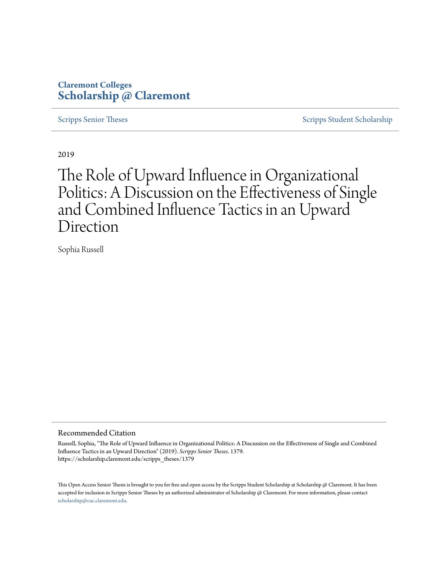# **Claremont Colleges [Scholarship @ Claremont](https://scholarship.claremont.edu)**

[Scripps Senior Theses](https://scholarship.claremont.edu/scripps_theses) [Scripps Student Scholarship](https://scholarship.claremont.edu/scripps_student)

2019

# The Role of Upward Influence in Organizational Politics: A Discussion on the Effectiveness of Single and Combined Influence Tactics in an Upward Direction

Sophia Russell

#### Recommended Citation

Russell, Sophia, "The Role of Upward Influence in Organizational Politics: A Discussion on the Effectiveness of Single and Combined Influence Tactics in an Upward Direction" (2019). *Scripps Senior Theses*. 1379. https://scholarship.claremont.edu/scripps\_theses/1379

This Open Access Senior Thesis is brought to you for free and open access by the Scripps Student Scholarship at Scholarship @ Claremont. It has been accepted for inclusion in Scripps Senior Theses by an authorized administrator of Scholarship @ Claremont. For more information, please contact [scholarship@cuc.claremont.edu.](mailto:scholarship@cuc.claremont.edu)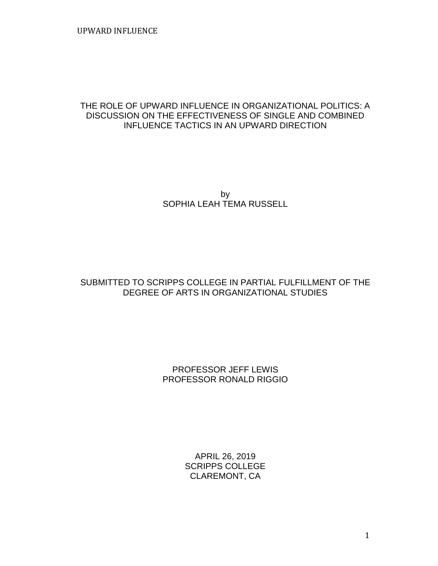# THE ROLE OF UPWARD INFLUENCE IN ORGANIZATIONAL POLITICS: A DISCUSSION ON THE EFFECTIVENESS OF SINGLE AND COMBINED INFLUENCE TACTICS IN AN UPWARD DIRECTION

by SOPHIA LEAH TEMA RUSSELL

# SUBMITTED TO SCRIPPS COLLEGE IN PARTIAL FULFILLMENT OF THE DEGREE OF ARTS IN ORGANIZATIONAL STUDIES

# PROFESSOR JEFF LEWIS PROFESSOR RONALD RIGGIO

APRIL 26, 2019 SCRIPPS COLLEGE CLAREMONT, CA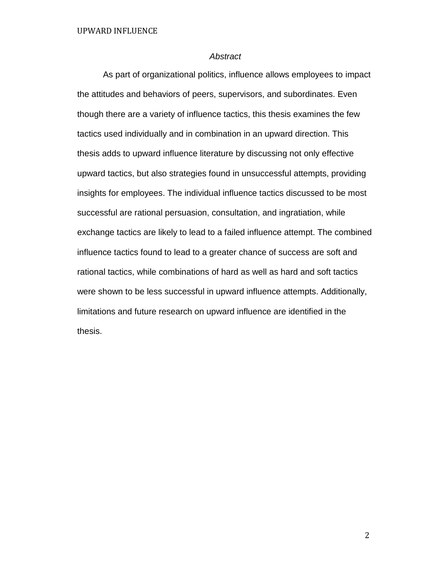#### *Abstract*

As part of organizational politics, influence allows employees to impact the attitudes and behaviors of peers, supervisors, and subordinates. Even though there are a variety of influence tactics, this thesis examines the few tactics used individually and in combination in an upward direction. This thesis adds to upward influence literature by discussing not only effective upward tactics, but also strategies found in unsuccessful attempts, providing insights for employees. The individual influence tactics discussed to be most successful are rational persuasion, consultation, and ingratiation, while exchange tactics are likely to lead to a failed influence attempt. The combined influence tactics found to lead to a greater chance of success are soft and rational tactics, while combinations of hard as well as hard and soft tactics were shown to be less successful in upward influence attempts. Additionally, limitations and future research on upward influence are identified in the thesis.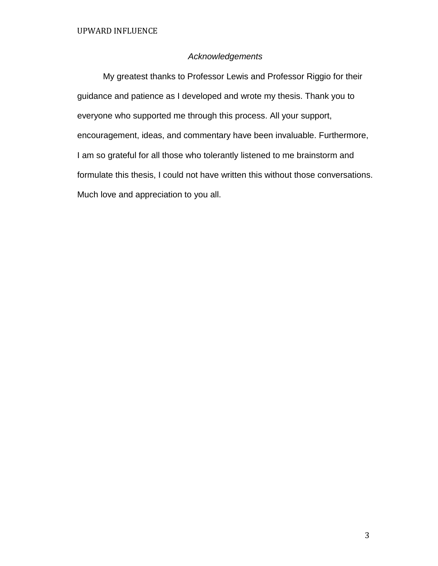# *Acknowledgements*

My greatest thanks to Professor Lewis and Professor Riggio for their guidance and patience as I developed and wrote my thesis. Thank you to everyone who supported me through this process. All your support, encouragement, ideas, and commentary have been invaluable. Furthermore, I am so grateful for all those who tolerantly listened to me brainstorm and formulate this thesis, I could not have written this without those conversations. Much love and appreciation to you all.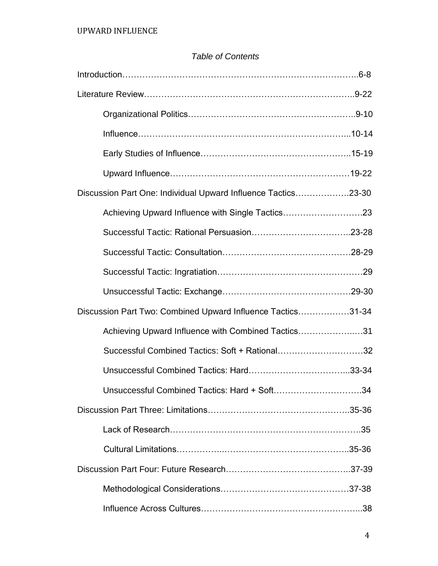# *Table of Contents*

| Discussion Part One: Individual Upward Influence Tactics23-30 |  |
|---------------------------------------------------------------|--|
| Achieving Upward Influence with Single Tactics23              |  |
|                                                               |  |
|                                                               |  |
|                                                               |  |
|                                                               |  |
| Discussion Part Two: Combined Upward Influence Tactics31-34   |  |
| Achieving Upward Influence with Combined Tactics31            |  |
| Successful Combined Tactics: Soft + Rational32                |  |
|                                                               |  |
| Unsuccessful Combined Tactics: Hard + Soft34                  |  |
|                                                               |  |
|                                                               |  |
|                                                               |  |
|                                                               |  |
|                                                               |  |
|                                                               |  |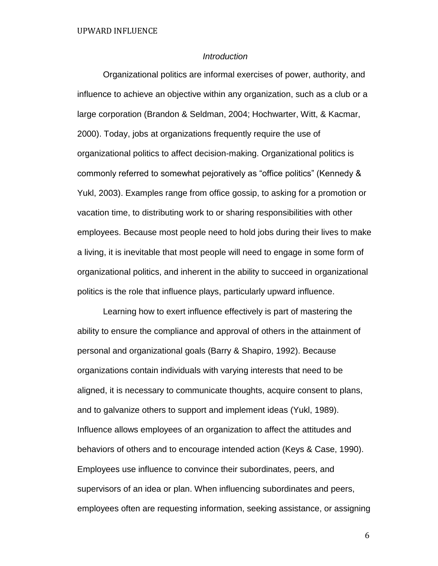## *Introduction*

Organizational politics are informal exercises of power, authority, and influence to achieve an objective within any organization, such as a club or a large corporation (Brandon & Seldman, 2004; Hochwarter, Witt, & Kacmar, 2000). Today, jobs at organizations frequently require the use of organizational politics to affect decision-making. Organizational politics is commonly referred to somewhat pejoratively as "office politics" (Kennedy & Yukl, 2003). Examples range from office gossip, to asking for a promotion or vacation time, to distributing work to or sharing responsibilities with other employees. Because most people need to hold jobs during their lives to make a living, it is inevitable that most people will need to engage in some form of organizational politics, and inherent in the ability to succeed in organizational politics is the role that influence plays, particularly upward influence.

Learning how to exert influence effectively is part of mastering the ability to ensure the compliance and approval of others in the attainment of personal and organizational goals (Barry & Shapiro, 1992). Because organizations contain individuals with varying interests that need to be aligned, it is necessary to communicate thoughts, acquire consent to plans, and to galvanize others to support and implement ideas (Yukl, 1989). Influence allows employees of an organization to affect the attitudes and behaviors of others and to encourage intended action (Keys & Case, 1990). Employees use influence to convince their subordinates, peers, and supervisors of an idea or plan. When influencing subordinates and peers, employees often are requesting information, seeking assistance, or assigning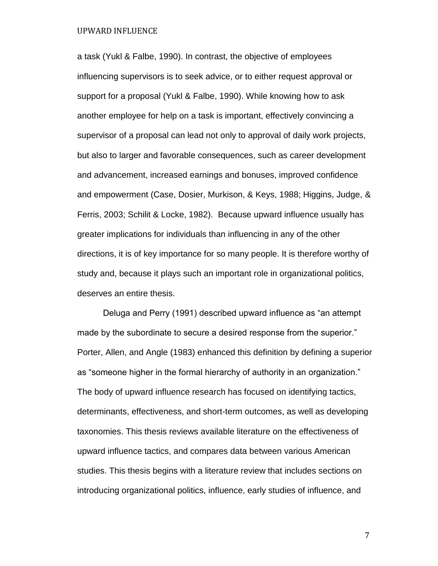a task (Yukl & Falbe, 1990). In contrast, the objective of employees influencing supervisors is to seek advice, or to either request approval or support for a proposal (Yukl & Falbe, 1990). While knowing how to ask another employee for help on a task is important, effectively convincing a supervisor of a proposal can lead not only to approval of daily work projects, but also to larger and favorable consequences, such as career development and advancement, increased earnings and bonuses, improved confidence and empowerment (Case, Dosier, Murkison, & Keys, 1988; Higgins, Judge, & Ferris, 2003; Schilit & Locke, 1982). Because upward influence usually has greater implications for individuals than influencing in any of the other directions, it is of key importance for so many people. It is therefore worthy of study and, because it plays such an important role in organizational politics, deserves an entire thesis.

Deluga and Perry (1991) described upward influence as "an attempt made by the subordinate to secure a desired response from the superior." Porter, Allen, and Angle (1983) enhanced this definition by defining a superior as "someone higher in the formal hierarchy of authority in an organization." The body of upward influence research has focused on identifying tactics, determinants, effectiveness, and short-term outcomes, as well as developing taxonomies. This thesis reviews available literature on the effectiveness of upward influence tactics, and compares data between various American studies. This thesis begins with a literature review that includes sections on introducing organizational politics, influence, early studies of influence, and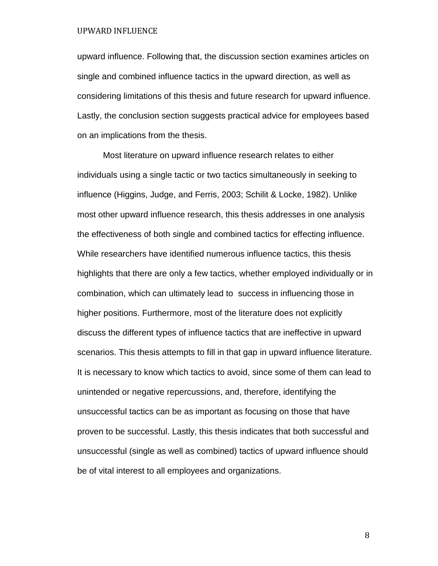upward influence. Following that, the discussion section examines articles on single and combined influence tactics in the upward direction, as well as considering limitations of this thesis and future research for upward influence. Lastly, the conclusion section suggests practical advice for employees based on an implications from the thesis.

Most literature on upward influence research relates to either individuals using a single tactic or two tactics simultaneously in seeking to influence (Higgins, Judge, and Ferris, 2003; Schilit & Locke, 1982). Unlike most other upward influence research, this thesis addresses in one analysis the effectiveness of both single and combined tactics for effecting influence. While researchers have identified numerous influence tactics, this thesis highlights that there are only a few tactics, whether employed individually or in combination, which can ultimately lead to success in influencing those in higher positions. Furthermore, most of the literature does not explicitly discuss the different types of influence tactics that are ineffective in upward scenarios. This thesis attempts to fill in that gap in upward influence literature. It is necessary to know which tactics to avoid, since some of them can lead to unintended or negative repercussions, and, therefore, identifying the unsuccessful tactics can be as important as focusing on those that have proven to be successful. Lastly, this thesis indicates that both successful and unsuccessful (single as well as combined) tactics of upward influence should be of vital interest to all employees and organizations.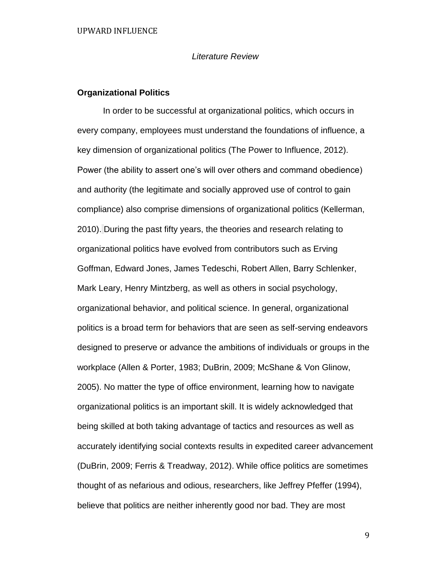#### *Literature Review*

#### **Organizational Politics**

In order to be successful at organizational politics, which occurs in every company, employees must understand the foundations of influence, a key dimension of organizational politics (The Power to Influence, 2012). Power (the ability to assert one's will over others and command obedience) and authority (the legitimate and socially approved use of control to gain compliance) also comprise dimensions of organizational politics (Kellerman, 2010). During the past fifty years, the theories and research relating to organizational politics have evolved from contributors such as Erving Goffman, Edward Jones, James Tedeschi, Robert Allen, Barry Schlenker, Mark Leary, Henry Mintzberg, as well as others in social psychology, organizational behavior, and political science. In general, organizational politics is a broad term for behaviors that are seen as self-serving endeavors designed to preserve or advance the ambitions of individuals or groups in the workplace (Allen & Porter, 1983; DuBrin, 2009; McShane & Von Glinow, 2005). No matter the type of office environment, learning how to navigate organizational politics is an important skill. It is widely acknowledged that being skilled at both taking advantage of tactics and resources as well as accurately identifying social contexts results in expedited career advancement (DuBrin, 2009; Ferris & Treadway, 2012). While office politics are sometimes thought of as nefarious and odious, researchers, like Jeffrey Pfeffer (1994), believe that politics are neither inherently good nor bad. They are most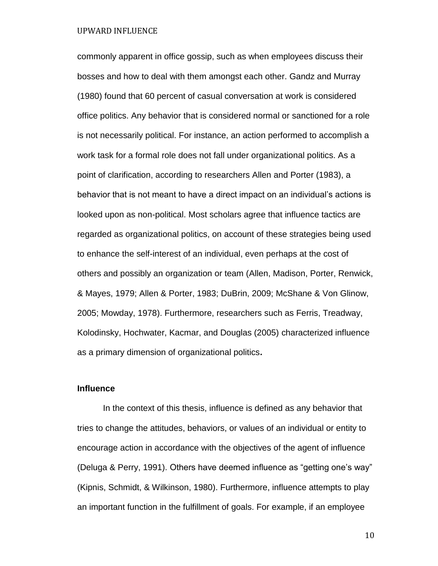commonly apparent in office gossip, such as when employees discuss their bosses and how to deal with them amongst each other. Gandz and Murray (1980) found that 60 percent of casual conversation at work is considered office politics. Any behavior that is considered normal or sanctioned for a role is not necessarily political. For instance, an action performed to accomplish a work task for a formal role does not fall under organizational politics. As a point of clarification, according to researchers Allen and Porter (1983), a behavior that is not meant to have a direct impact on an individual's actions is looked upon as non-political. Most scholars agree that influence tactics are regarded as organizational politics, on account of these strategies being used to enhance the self-interest of an individual, even perhaps at the cost of others and possibly an organization or team (Allen, Madison, Porter, Renwick, & Mayes, 1979; Allen & Porter, 1983; DuBrin, 2009; McShane & Von Glinow, 2005; Mowday, 1978). Furthermore, researchers such as Ferris, Treadway, Kolodinsky, Hochwater, Kacmar, and Douglas (2005) characterized influence as a primary dimension of organizational politics**.** 

#### **Influence**

In the context of this thesis, influence is defined as any behavior that tries to change the attitudes, behaviors, or values of an individual or entity to encourage action in accordance with the objectives of the agent of influence (Deluga & Perry, 1991). Others have deemed influence as "getting one's way" (Kipnis, Schmidt, & Wilkinson, 1980). Furthermore, influence attempts to play an important function in the fulfillment of goals. For example, if an employee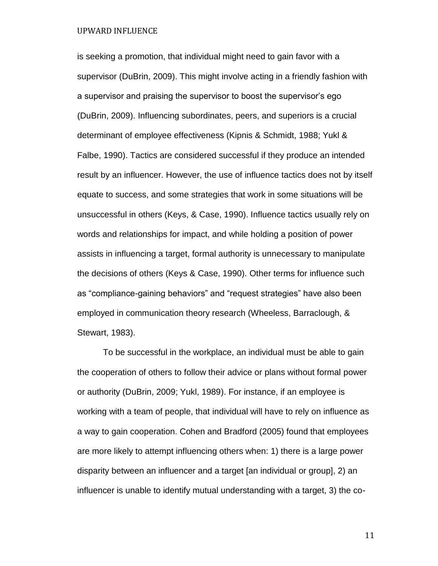is seeking a promotion, that individual might need to gain favor with a supervisor (DuBrin, 2009). This might involve acting in a friendly fashion with a supervisor and praising the supervisor to boost the supervisor's ego (DuBrin, 2009). Influencing subordinates, peers, and superiors is a crucial determinant of employee effectiveness (Kipnis & Schmidt, 1988; Yukl & Falbe, 1990). Tactics are considered successful if they produce an intended result by an influencer. However, the use of influence tactics does not by itself equate to success, and some strategies that work in some situations will be unsuccessful in others (Keys, & Case, 1990). Influence tactics usually rely on words and relationships for impact, and while holding a position of power assists in influencing a target, formal authority is unnecessary to manipulate the decisions of others (Keys & Case, 1990). Other terms for influence such as "compliance-gaining behaviors" and "request strategies" have also been employed in communication theory research (Wheeless, Barraclough, & Stewart, 1983).

To be successful in the workplace, an individual must be able to gain the cooperation of others to follow their advice or plans without formal power or authority (DuBrin, 2009; Yukl, 1989). For instance, if an employee is working with a team of people, that individual will have to rely on influence as a way to gain cooperation. Cohen and Bradford (2005) found that employees are more likely to attempt influencing others when: 1) there is a large power disparity between an influencer and a target [an individual or group], 2) an influencer is unable to identify mutual understanding with a target, 3) the co-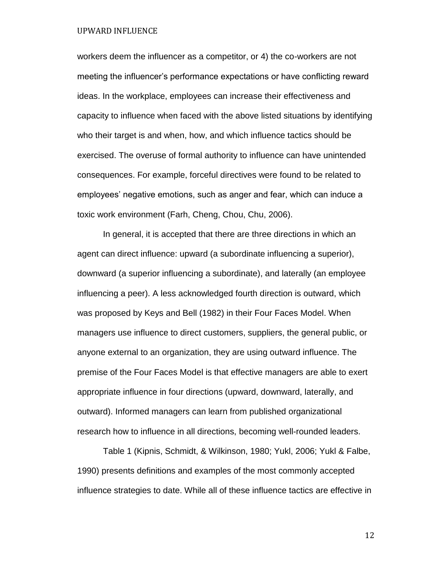workers deem the influencer as a competitor, or 4) the co-workers are not meeting the influencer's performance expectations or have conflicting reward ideas. In the workplace, employees can increase their effectiveness and capacity to influence when faced with the above listed situations by identifying who their target is and when, how, and which influence tactics should be exercised. The overuse of formal authority to influence can have unintended consequences. For example, forceful directives were found to be related to employees' negative emotions, such as anger and fear, which can induce a toxic work environment (Farh, Cheng, Chou, Chu, 2006).

In general, it is accepted that there are three directions in which an agent can direct influence: upward (a subordinate influencing a superior), downward (a superior influencing a subordinate), and laterally (an employee influencing a peer). A less acknowledged fourth direction is outward, which was proposed by Keys and Bell (1982) in their Four Faces Model. When managers use influence to direct customers, suppliers, the general public, or anyone external to an organization, they are using outward influence. The premise of the Four Faces Model is that effective managers are able to exert appropriate influence in four directions (upward, downward, laterally, and outward). Informed managers can learn from published organizational research how to influence in all directions, becoming well-rounded leaders.

Table 1 (Kipnis, Schmidt, & Wilkinson, 1980; Yukl, 2006; Yukl & Falbe, 1990) presents definitions and examples of the most commonly accepted influence strategies to date. While all of these influence tactics are effective in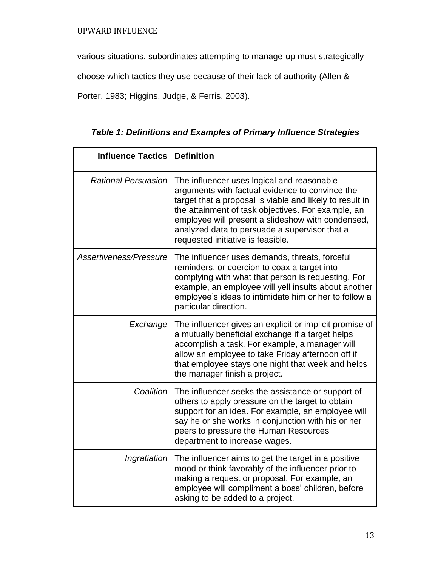various situations, subordinates attempting to manage-up must strategically

choose which tactics they use because of their lack of authority (Allen &

Porter, 1983; Higgins, Judge, & Ferris, 2003).

| <b>Influence Tactics</b>   | <b>Definition</b>                                                                                                                                                                                                                                                                                                                                          |
|----------------------------|------------------------------------------------------------------------------------------------------------------------------------------------------------------------------------------------------------------------------------------------------------------------------------------------------------------------------------------------------------|
| <b>Rational Persuasion</b> | The influencer uses logical and reasonable<br>arguments with factual evidence to convince the<br>target that a proposal is viable and likely to result in<br>the attainment of task objectives. For example, an<br>employee will present a slideshow with condensed,<br>analyzed data to persuade a supervisor that a<br>requested initiative is feasible. |
| Assertiveness/Pressure     | The influencer uses demands, threats, forceful<br>reminders, or coercion to coax a target into<br>complying with what that person is requesting. For<br>example, an employee will yell insults about another<br>employee's ideas to intimidate him or her to follow a<br>particular direction.                                                             |
| Exchange                   | The influencer gives an explicit or implicit promise of<br>a mutually beneficial exchange if a target helps<br>accomplish a task. For example, a manager will<br>allow an employee to take Friday afternoon off if<br>that employee stays one night that week and helps<br>the manager finish a project.                                                   |
| Coalition                  | The influencer seeks the assistance or support of<br>others to apply pressure on the target to obtain<br>support for an idea. For example, an employee will<br>say he or she works in conjunction with his or her<br>peers to pressure the Human Resources<br>department to increase wages.                                                                |
| Ingratiation               | The influencer aims to get the target in a positive<br>mood or think favorably of the influencer prior to<br>making a request or proposal. For example, an<br>employee will compliment a boss' children, before<br>asking to be added to a project.                                                                                                        |

*Table 1: Definitions and Examples of Primary Influence Strategies*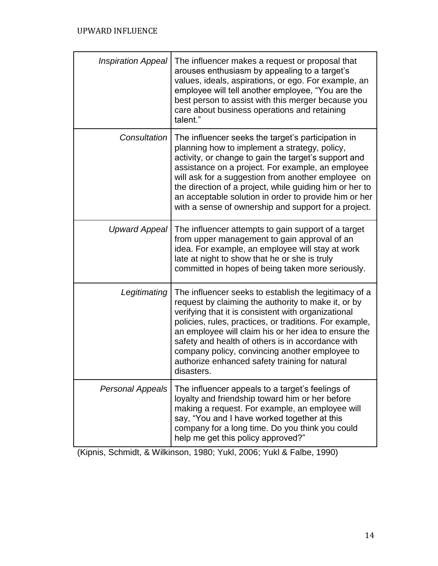| <b>Inspiration Appeal</b> | The influencer makes a request or proposal that<br>arouses enthusiasm by appealing to a target's<br>values, ideals, aspirations, or ego. For example, an<br>employee will tell another employee, "You are the<br>best person to assist with this merger because you<br>care about business operations and retaining<br>talent."                                                                                                                              |
|---------------------------|--------------------------------------------------------------------------------------------------------------------------------------------------------------------------------------------------------------------------------------------------------------------------------------------------------------------------------------------------------------------------------------------------------------------------------------------------------------|
| Consultation              | The influencer seeks the target's participation in<br>planning how to implement a strategy, policy,<br>activity, or change to gain the target's support and<br>assistance on a project. For example, an employee<br>will ask for a suggestion from another employee on<br>the direction of a project, while guiding him or her to<br>an acceptable solution in order to provide him or her<br>with a sense of ownership and support for a project.           |
| <b>Upward Appeal</b>      | The influencer attempts to gain support of a target<br>from upper management to gain approval of an<br>idea. For example, an employee will stay at work<br>late at night to show that he or she is truly<br>committed in hopes of being taken more seriously.                                                                                                                                                                                                |
| Legitimating              | The influencer seeks to establish the legitimacy of a<br>request by claiming the authority to make it, or by<br>verifying that it is consistent with organizational<br>policies, rules, practices, or traditions. For example,<br>an employee will claim his or her idea to ensure the<br>safety and health of others is in accordance with<br>company policy, convincing another employee to<br>authorize enhanced safety training for natural<br>disasters |
| <b>Personal Appeals</b>   | The influencer appeals to a target's feelings of<br>loyalty and friendship toward him or her before<br>making a request. For example, an employee will<br>say, "You and I have worked together at this<br>company for a long time. Do you think you could<br>help me get this policy approved?"                                                                                                                                                              |

(Kipnis, Schmidt, & Wilkinson, 1980; Yukl, 2006; Yukl & Falbe, 1990)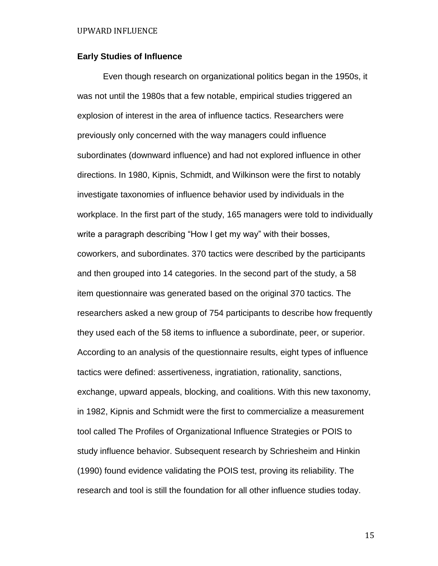# **Early Studies of Influence**

Even though research on organizational politics began in the 1950s, it was not until the 1980s that a few notable, empirical studies triggered an explosion of interest in the area of influence tactics. Researchers were previously only concerned with the way managers could influence subordinates (downward influence) and had not explored influence in other directions. In 1980, Kipnis, Schmidt, and Wilkinson were the first to notably investigate taxonomies of influence behavior used by individuals in the workplace. In the first part of the study, 165 managers were told to individually write a paragraph describing "How I get my way" with their bosses, coworkers, and subordinates. 370 tactics were described by the participants and then grouped into 14 categories. In the second part of the study, a 58 item questionnaire was generated based on the original 370 tactics. The researchers asked a new group of 754 participants to describe how frequently they used each of the 58 items to influence a subordinate, peer, or superior. According to an analysis of the questionnaire results, eight types of influence tactics were defined: assertiveness, ingratiation, rationality, sanctions, exchange, upward appeals, blocking, and coalitions. With this new taxonomy, in 1982, Kipnis and Schmidt were the first to commercialize a measurement tool called The Profiles of Organizational Influence Strategies or POIS to study influence behavior. Subsequent research by Schriesheim and Hinkin (1990) found evidence validating the POIS test, proving its reliability. The research and tool is still the foundation for all other influence studies today.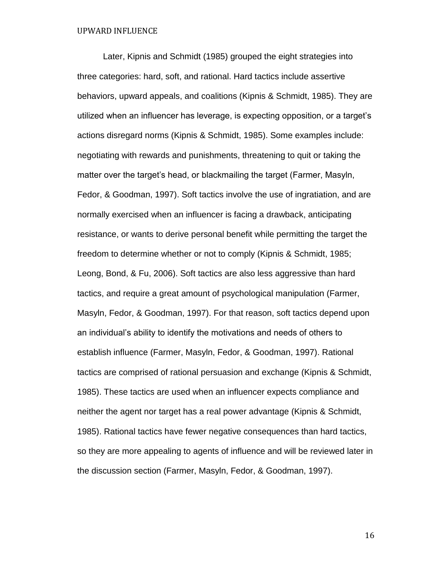Later, Kipnis and Schmidt (1985) grouped the eight strategies into three categories: hard, soft, and rational. Hard tactics include assertive behaviors, upward appeals, and coalitions (Kipnis & Schmidt, 1985). They are utilized when an influencer has leverage, is expecting opposition, or a target's actions disregard norms (Kipnis & Schmidt, 1985). Some examples include: negotiating with rewards and punishments, threatening to quit or taking the matter over the target's head, or blackmailing the target (Farmer, Masyln, Fedor, & Goodman, 1997). Soft tactics involve the use of ingratiation, and are normally exercised when an influencer is facing a drawback, anticipating resistance, or wants to derive personal benefit while permitting the target the freedom to determine whether or not to comply (Kipnis & Schmidt, 1985; Leong, Bond, & Fu, 2006). Soft tactics are also less aggressive than hard tactics, and require a great amount of psychological manipulation (Farmer, Masyln, Fedor, & Goodman, 1997). For that reason, soft tactics depend upon an individual's ability to identify the motivations and needs of others to establish influence (Farmer, Masyln, Fedor, & Goodman, 1997). Rational tactics are comprised of rational persuasion and exchange (Kipnis & Schmidt, 1985). These tactics are used when an influencer expects compliance and neither the agent nor target has a real power advantage (Kipnis & Schmidt, 1985). Rational tactics have fewer negative consequences than hard tactics, so they are more appealing to agents of influence and will be reviewed later in the discussion section (Farmer, Masyln, Fedor, & Goodman, 1997).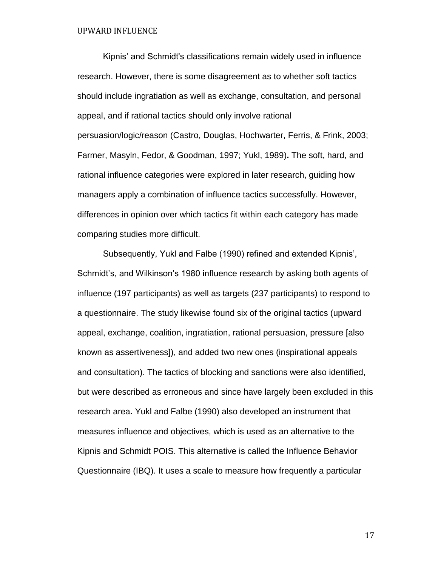Kipnis' and Schmidt's classifications remain widely used in influence research. However, there is some disagreement as to whether soft tactics should include ingratiation as well as exchange, consultation, and personal appeal, and if rational tactics should only involve rational persuasion/logic/reason (Castro, Douglas, Hochwarter, Ferris, & Frink, 2003; Farmer, Masyln, Fedor, & Goodman, 1997; Yukl, 1989)**.** The soft, hard, and rational influence categories were explored in later research, guiding how managers apply a combination of influence tactics successfully. However, differences in opinion over which tactics fit within each category has made comparing studies more difficult.

Subsequently, Yukl and Falbe (1990) refined and extended Kipnis', Schmidt's, and Wilkinson's 1980 influence research by asking both agents of influence (197 participants) as well as targets (237 participants) to respond to a questionnaire. The study likewise found six of the original tactics (upward appeal, exchange, coalition, ingratiation, rational persuasion, pressure [also known as assertiveness]), and added two new ones (inspirational appeals and consultation). The tactics of blocking and sanctions were also identified, but were described as erroneous and since have largely been excluded in this research area**.** Yukl and Falbe (1990) also developed an instrument that measures influence and objectives, which is used as an alternative to the Kipnis and Schmidt POIS. This alternative is called the Influence Behavior Questionnaire (IBQ). It uses a scale to measure how frequently a particular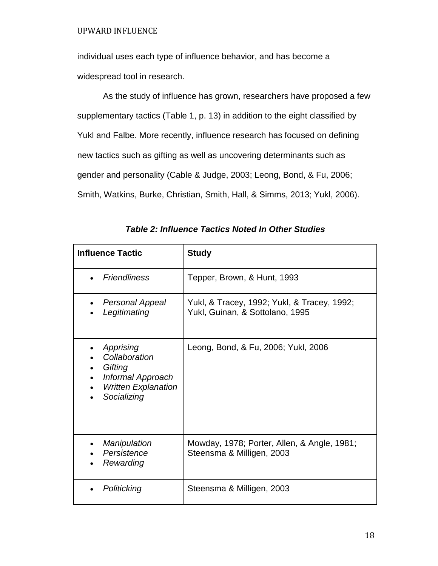individual uses each type of influence behavior, and has become a widespread tool in research.

As the study of influence has grown, researchers have proposed a few supplementary tactics (Table 1, p. 13) in addition to the eight classified by Yukl and Falbe. More recently, influence research has focused on defining new tactics such as gifting as well as uncovering determinants such as gender and personality (Cable & Judge, 2003; Leong, Bond, & Fu, 2006; Smith, Watkins, Burke, Christian, Smith, Hall, & Simms, 2013; Yukl, 2006).

| <b>Influence Tactic</b>                                                                                 | <b>Study</b>                                                                   |
|---------------------------------------------------------------------------------------------------------|--------------------------------------------------------------------------------|
| <b>Friendliness</b>                                                                                     | Tepper, Brown, & Hunt, 1993                                                    |
| <b>Personal Appeal</b><br>Legitimating                                                                  | Yukl, & Tracey, 1992; Yukl, & Tracey, 1992;<br>Yukl, Guinan, & Sottolano, 1995 |
| Apprising<br>Collaboration<br>Gifting<br>Informal Approach<br><b>Written Explanation</b><br>Socializing | Leong, Bond, & Fu, 2006; Yukl, 2006                                            |
| Manipulation<br>Persistence<br>Rewarding                                                                | Mowday, 1978; Porter, Allen, & Angle, 1981;<br>Steensma & Milligen, 2003       |
| Politicking                                                                                             | Steensma & Milligen, 2003                                                      |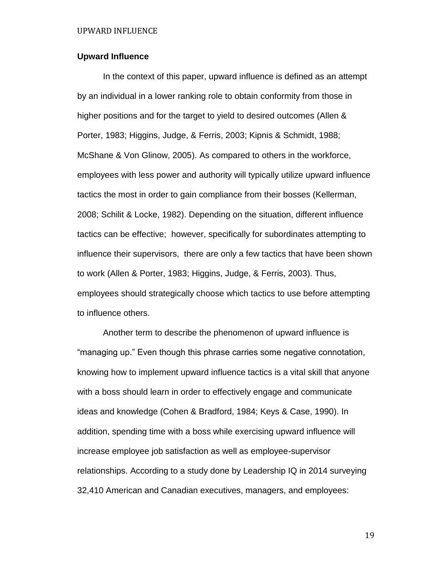# **Upward Influence**

In the context of this paper, upward influence is defined as an attempt by an individual in a lower ranking role to obtain conformity from those in higher positions and for the target to yield to desired outcomes (Allen & Porter, 1983; Higgins, Judge, & Ferris, 2003; Kipnis & Schmidt, 1988; McShane & Von Glinow, 2005). As compared to others in the workforce, employees with less power and authority will typically utilize upward influence tactics the most in order to gain compliance from their bosses (Kellerman, 2008; Schilit & Locke, 1982). Depending on the situation, different influence tactics can be effective; however, specifically for subordinates attempting to influence their supervisors, there are only a few tactics that have been shown to work (Allen & Porter, 1983; Higgins, Judge, & Ferris, 2003). Thus, employees should strategically choose which tactics to use before attempting to influence others.

Another term to describe the phenomenon of upward influence is "managing up." Even though this phrase carries some negative connotation, knowing how to implement upward influence tactics is a vital skill that anyone with a boss should learn in order to effectively engage and communicate ideas and knowledge (Cohen & Bradford, 1984; Keys & Case, 1990). In addition, spending time with a boss while exercising upward influence will increase employee job satisfaction as well as employee-supervisor relationships. According to a study done by Leadership IQ in 2014 surveying 32,410 American and Canadian executives, managers, and employees: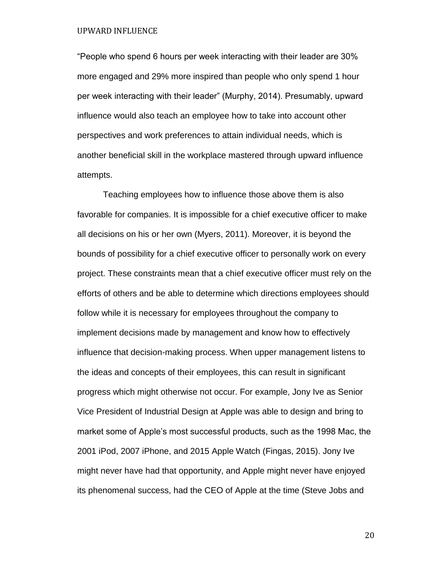"People who spend 6 hours per week interacting with their leader are 30% more engaged and 29% more inspired than people who only spend 1 hour per week interacting with their leader" (Murphy, 2014). Presumably, upward influence would also teach an employee how to take into account other perspectives and work preferences to attain individual needs, which is another beneficial skill in the workplace mastered through upward influence attempts.

Teaching employees how to influence those above them is also favorable for companies. It is impossible for a chief executive officer to make all decisions on his or her own (Myers, 2011). Moreover, it is beyond the bounds of possibility for a chief executive officer to personally work on every project. These constraints mean that a chief executive officer must rely on the efforts of others and be able to determine which directions employees should follow while it is necessary for employees throughout the company to implement decisions made by management and know how to effectively influence that decision-making process. When upper management listens to the ideas and concepts of their employees, this can result in significant progress which might otherwise not occur. For example, Jony Ive as Senior Vice President of Industrial Design at Apple was able to design and bring to market some of Apple's most successful products, such as the 1998 Mac, the 2001 iPod, 2007 iPhone, and 2015 Apple Watch (Fingas, 2015). Jony Ive might never have had that opportunity, and Apple might never have enjoyed its phenomenal success, had the CEO of Apple at the time (Steve Jobs and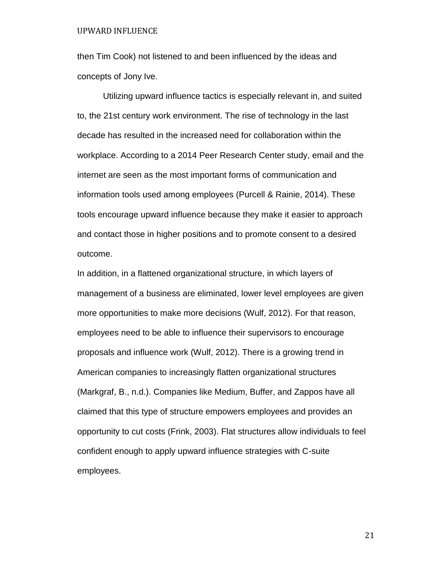then Tim Cook) not listened to and been influenced by the ideas and concepts of Jony Ive.

Utilizing upward influence tactics is especially relevant in, and suited to, the 21st century work environment. The rise of technology in the last decade has resulted in the increased need for collaboration within the workplace. According to a 2014 Peer Research Center study, email and the internet are seen as the most important forms of communication and information tools used among employees (Purcell & Rainie, 2014). These tools encourage upward influence because they make it easier to approach and contact those in higher positions and to promote consent to a desired outcome.

In addition, in a flattened organizational structure, in which layers of management of a business are eliminated, lower level employees are given more opportunities to make more decisions (Wulf, 2012). For that reason, employees need to be able to influence their supervisors to encourage proposals and influence work (Wulf, 2012). There is a growing trend in American companies to increasingly flatten organizational structures (Markgraf, B., n.d.). Companies like Medium, Buffer, and Zappos have all claimed that this type of structure empowers employees and provides an opportunity to cut costs (Frink, 2003). Flat structures allow individuals to feel confident enough to apply upward influence strategies with C-suite employees.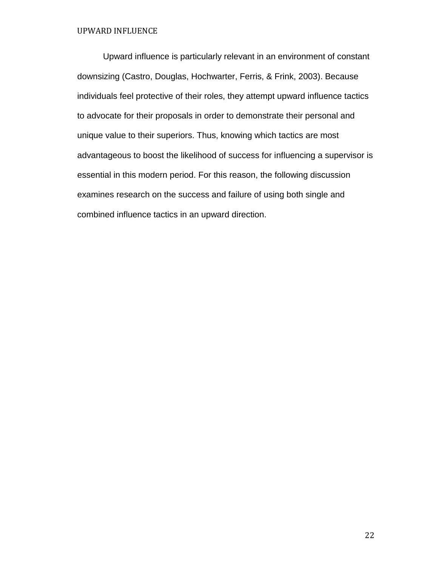Upward influence is particularly relevant in an environment of constant downsizing (Castro, Douglas, Hochwarter, Ferris, & Frink, 2003). Because individuals feel protective of their roles, they attempt upward influence tactics to advocate for their proposals in order to demonstrate their personal and unique value to their superiors. Thus, knowing which tactics are most advantageous to boost the likelihood of success for influencing a supervisor is essential in this modern period. For this reason, the following discussion examines research on the success and failure of using both single and combined influence tactics in an upward direction.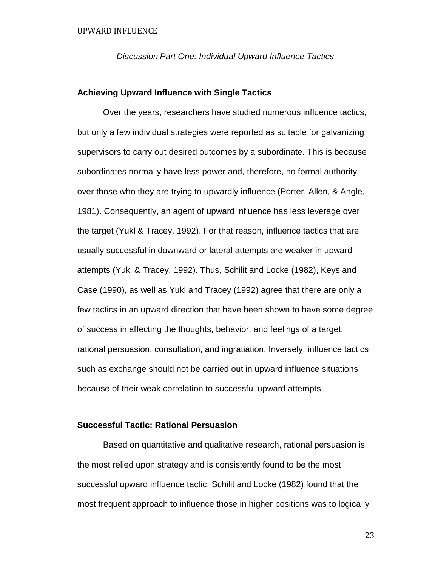*Discussion Part One: Individual Upward Influence Tactics*

# **Achieving Upward Influence with Single Tactics**

Over the years, researchers have studied numerous influence tactics, but only a few individual strategies were reported as suitable for galvanizing supervisors to carry out desired outcomes by a subordinate. This is because subordinates normally have less power and, therefore, no formal authority over those who they are trying to upwardly influence (Porter, Allen, & Angle, 1981). Consequently, an agent of upward influence has less leverage over the target (Yukl & Tracey, 1992). For that reason, influence tactics that are usually successful in downward or lateral attempts are weaker in upward attempts (Yukl & Tracey, 1992). Thus, Schilit and Locke (1982), Keys and Case (1990), as well as Yukl and Tracey (1992) agree that there are only a few tactics in an upward direction that have been shown to have some degree of success in affecting the thoughts, behavior, and feelings of a target: rational persuasion, consultation, and ingratiation. Inversely, influence tactics such as exchange should not be carried out in upward influence situations because of their weak correlation to successful upward attempts.

# **Successful Tactic: Rational Persuasion**

Based on quantitative and qualitative research, rational persuasion is the most relied upon strategy and is consistently found to be the most successful upward influence tactic. Schilit and Locke (1982) found that the most frequent approach to influence those in higher positions was to logically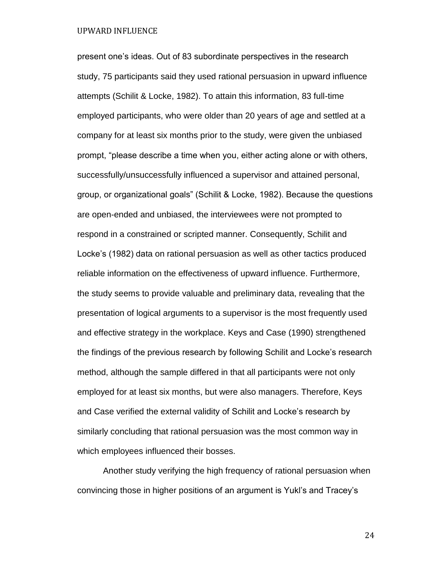present one's ideas. Out of 83 subordinate perspectives in the research study, 75 participants said they used rational persuasion in upward influence attempts (Schilit & Locke, 1982). To attain this information, 83 full-time employed participants, who were older than 20 years of age and settled at a company for at least six months prior to the study, were given the unbiased prompt, "please describe a time when you, either acting alone or with others, successfully/unsuccessfully influenced a supervisor and attained personal, group, or organizational goals" (Schilit & Locke, 1982). Because the questions are open-ended and unbiased, the interviewees were not prompted to respond in a constrained or scripted manner. Consequently, Schilit and Locke's (1982) data on rational persuasion as well as other tactics produced reliable information on the effectiveness of upward influence. Furthermore, the study seems to provide valuable and preliminary data, revealing that the presentation of logical arguments to a supervisor is the most frequently used and effective strategy in the workplace. Keys and Case (1990) strengthened the findings of the previous research by following Schilit and Locke's research method, although the sample differed in that all participants were not only employed for at least six months, but were also managers. Therefore, Keys and Case verified the external validity of Schilit and Locke's research by similarly concluding that rational persuasion was the most common way in which employees influenced their bosses.

Another study verifying the high frequency of rational persuasion when convincing those in higher positions of an argument is Yukl's and Tracey's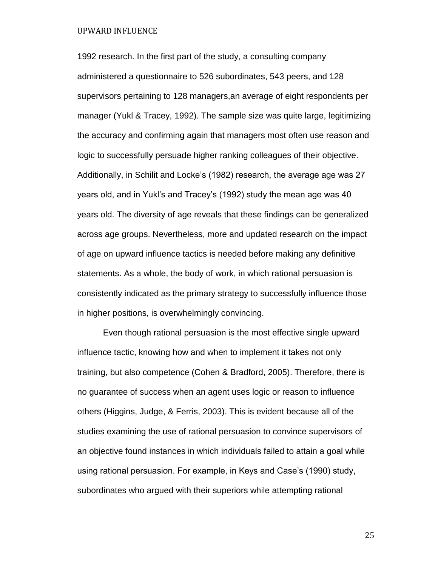1992 research. In the first part of the study, a consulting company administered a questionnaire to 526 subordinates, 543 peers, and 128 supervisors pertaining to 128 managers,an average of eight respondents per manager (Yukl & Tracey, 1992). The sample size was quite large, legitimizing the accuracy and confirming again that managers most often use reason and logic to successfully persuade higher ranking colleagues of their objective. Additionally, in Schilit and Locke's (1982) research, the average age was 27 years old, and in Yukl's and Tracey's (1992) study the mean age was 40 years old. The diversity of age reveals that these findings can be generalized across age groups. Nevertheless, more and updated research on the impact of age on upward influence tactics is needed before making any definitive statements. As a whole, the body of work, in which rational persuasion is consistently indicated as the primary strategy to successfully influence those in higher positions, is overwhelmingly convincing.

Even though rational persuasion is the most effective single upward influence tactic, knowing how and when to implement it takes not only training, but also competence (Cohen & Bradford, 2005). Therefore, there is no guarantee of success when an agent uses logic or reason to influence others (Higgins, Judge, & Ferris, 2003). This is evident because all of the studies examining the use of rational persuasion to convince supervisors of an objective found instances in which individuals failed to attain a goal while using rational persuasion. For example, in Keys and Case's (1990) study, subordinates who argued with their superiors while attempting rational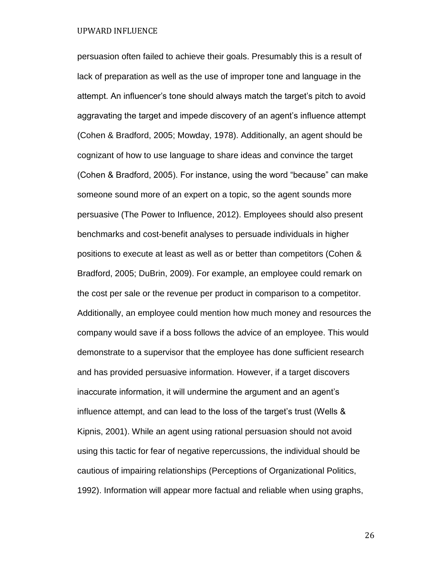persuasion often failed to achieve their goals. Presumably this is a result of lack of preparation as well as the use of improper tone and language in the attempt. An influencer's tone should always match the target's pitch to avoid aggravating the target and impede discovery of an agent's influence attempt (Cohen & Bradford, 2005; Mowday, 1978). Additionally, an agent should be cognizant of how to use language to share ideas and convince the target (Cohen & Bradford, 2005). For instance, using the word "because" can make someone sound more of an expert on a topic, so the agent sounds more persuasive (The Power to Influence, 2012). Employees should also present benchmarks and cost-benefit analyses to persuade individuals in higher positions to execute at least as well as or better than competitors (Cohen & Bradford, 2005; DuBrin, 2009). For example, an employee could remark on the cost per sale or the revenue per product in comparison to a competitor. Additionally, an employee could mention how much money and resources the company would save if a boss follows the advice of an employee. This would demonstrate to a supervisor that the employee has done sufficient research and has provided persuasive information. However, if a target discovers inaccurate information, it will undermine the argument and an agent's influence attempt, and can lead to the loss of the target's trust (Wells & Kipnis, 2001). While an agent using rational persuasion should not avoid using this tactic for fear of negative repercussions, the individual should be cautious of impairing relationships (Perceptions of Organizational Politics, 1992). Information will appear more factual and reliable when using graphs,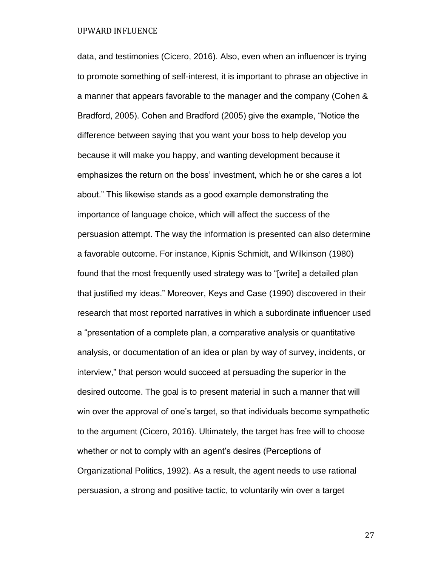data, and testimonies (Cicero, 2016). Also, even when an influencer is trying to promote something of self-interest, it is important to phrase an objective in a manner that appears favorable to the manager and the company (Cohen & Bradford, 2005). Cohen and Bradford (2005) give the example, "Notice the difference between saying that you want your boss to help develop you because it will make you happy, and wanting development because it emphasizes the return on the boss' investment, which he or she cares a lot about." This likewise stands as a good example demonstrating the importance of language choice, which will affect the success of the persuasion attempt. The way the information is presented can also determine a favorable outcome. For instance, Kipnis Schmidt, and Wilkinson (1980) found that the most frequently used strategy was to "[write] a detailed plan that justified my ideas." Moreover, Keys and Case (1990) discovered in their research that most reported narratives in which a subordinate influencer used a "presentation of a complete plan, a comparative analysis or quantitative analysis, or documentation of an idea or plan by way of survey, incidents, or interview," that person would succeed at persuading the superior in the desired outcome. The goal is to present material in such a manner that will win over the approval of one's target, so that individuals become sympathetic to the argument (Cicero, 2016). Ultimately, the target has free will to choose whether or not to comply with an agent's desires (Perceptions of Organizational Politics, 1992). As a result, the agent needs to use rational persuasion, a strong and positive tactic, to voluntarily win over a target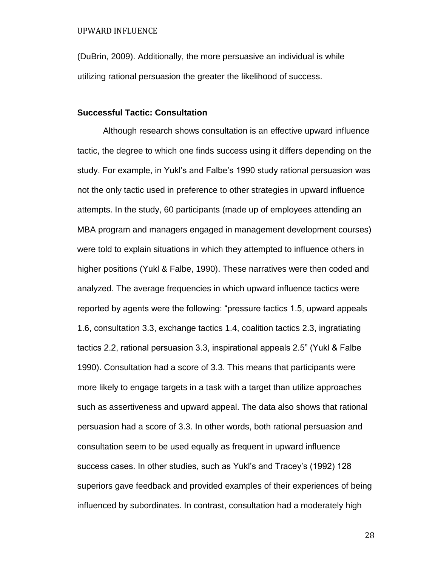(DuBrin, 2009). Additionally, the more persuasive an individual is while utilizing rational persuasion the greater the likelihood of success.

# **Successful Tactic: Consultation**

Although research shows consultation is an effective upward influence tactic, the degree to which one finds success using it differs depending on the study. For example, in Yukl's and Falbe's 1990 study rational persuasion was not the only tactic used in preference to other strategies in upward influence attempts. In the study, 60 participants (made up of employees attending an MBA program and managers engaged in management development courses) were told to explain situations in which they attempted to influence others in higher positions (Yukl & Falbe, 1990). These narratives were then coded and analyzed. The average frequencies in which upward influence tactics were reported by agents were the following: "pressure tactics 1.5, upward appeals 1.6, consultation 3.3, exchange tactics 1.4, coalition tactics 2.3, ingratiating tactics 2.2, rational persuasion 3.3, inspirational appeals 2.5" (Yukl & Falbe 1990). Consultation had a score of 3.3. This means that participants were more likely to engage targets in a task with a target than utilize approaches such as assertiveness and upward appeal. The data also shows that rational persuasion had a score of 3.3. In other words, both rational persuasion and consultation seem to be used equally as frequent in upward influence success cases. In other studies, such as Yukl's and Tracey's (1992) 128 superiors gave feedback and provided examples of their experiences of being influenced by subordinates. In contrast, consultation had a moderately high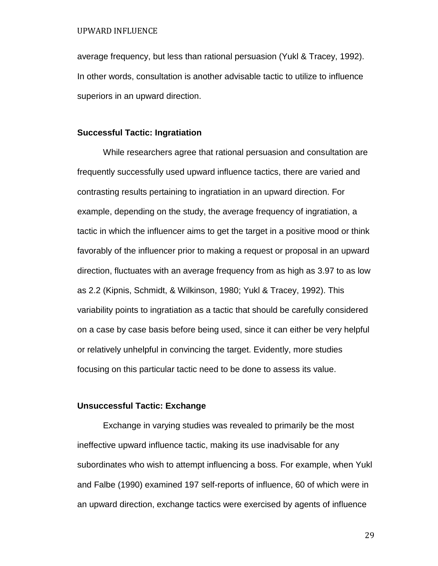average frequency, but less than rational persuasion (Yukl & Tracey, 1992). In other words, consultation is another advisable tactic to utilize to influence superiors in an upward direction.

#### **Successful Tactic: Ingratiation**

While researchers agree that rational persuasion and consultation are frequently successfully used upward influence tactics, there are varied and contrasting results pertaining to ingratiation in an upward direction. For example, depending on the study, the average frequency of ingratiation, a tactic in which the influencer aims to get the target in a positive mood or think favorably of the influencer prior to making a request or proposal in an upward direction, fluctuates with an average frequency from as high as 3.97 to as low as 2.2 (Kipnis, Schmidt, & Wilkinson, 1980; Yukl & Tracey, 1992). This variability points to ingratiation as a tactic that should be carefully considered on a case by case basis before being used, since it can either be very helpful or relatively unhelpful in convincing the target. Evidently, more studies focusing on this particular tactic need to be done to assess its value.

## **Unsuccessful Tactic: Exchange**

Exchange in varying studies was revealed to primarily be the most ineffective upward influence tactic, making its use inadvisable for any subordinates who wish to attempt influencing a boss. For example, when Yukl and Falbe (1990) examined 197 self-reports of influence, 60 of which were in an upward direction, exchange tactics were exercised by agents of influence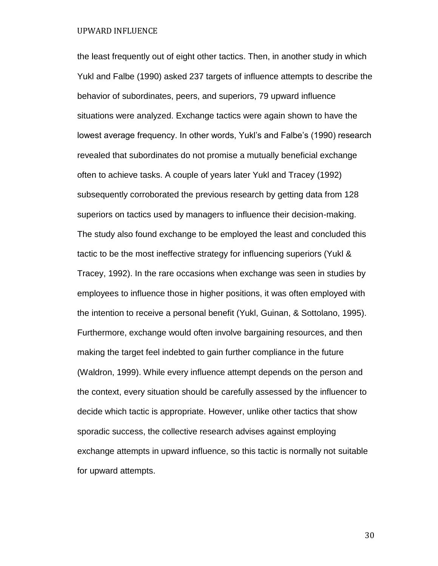the least frequently out of eight other tactics. Then, in another study in which Yukl and Falbe (1990) asked 237 targets of influence attempts to describe the behavior of subordinates, peers, and superiors, 79 upward influence situations were analyzed. Exchange tactics were again shown to have the lowest average frequency. In other words, Yukl's and Falbe's (1990) research revealed that subordinates do not promise a mutually beneficial exchange often to achieve tasks. A couple of years later Yukl and Tracey (1992) subsequently corroborated the previous research by getting data from 128 superiors on tactics used by managers to influence their decision-making. The study also found exchange to be employed the least and concluded this tactic to be the most ineffective strategy for influencing superiors (Yukl & Tracey, 1992). In the rare occasions when exchange was seen in studies by employees to influence those in higher positions, it was often employed with the intention to receive a personal benefit (Yukl, Guinan, & Sottolano, 1995). Furthermore, exchange would often involve bargaining resources, and then making the target feel indebted to gain further compliance in the future (Waldron, 1999). While every influence attempt depends on the person and the context, every situation should be carefully assessed by the influencer to decide which tactic is appropriate. However, unlike other tactics that show sporadic success, the collective research advises against employing exchange attempts in upward influence, so this tactic is normally not suitable for upward attempts.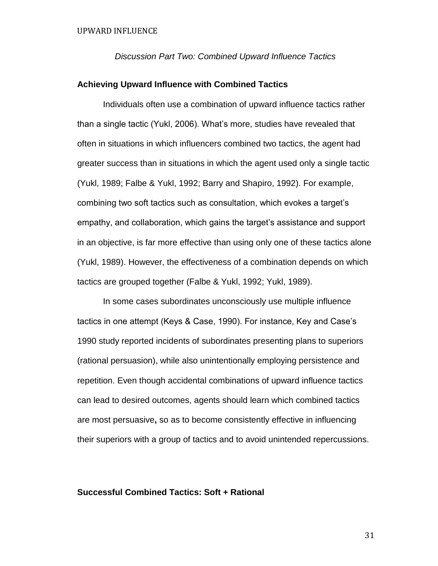*Discussion Part Two: Combined Upward Influence Tactics*

## **Achieving Upward Influence with Combined Tactics**

Individuals often use a combination of upward influence tactics rather than a single tactic (Yukl, 2006). What's more, studies have revealed that often in situations in which influencers combined two tactics, the agent had greater success than in situations in which the agent used only a single tactic (Yukl, 1989; Falbe & Yukl, 1992; Barry and Shapiro, 1992). For example, combining two soft tactics such as consultation, which evokes a target's empathy, and collaboration, which gains the target's assistance and support in an objective, is far more effective than using only one of these tactics alone (Yukl, 1989). However, the effectiveness of a combination depends on which tactics are grouped together (Falbe & Yukl, 1992; Yukl, 1989).

In some cases subordinates unconsciously use multiple influence tactics in one attempt (Keys & Case, 1990). For instance, Key and Case's 1990 study reported incidents of subordinates presenting plans to superiors (rational persuasion), while also unintentionally employing persistence and repetition. Even though accidental combinations of upward influence tactics can lead to desired outcomes, agents should learn which combined tactics are most persuasive**,** so as to become consistently effective in influencing their superiors with a group of tactics and to avoid unintended repercussions.

# **Successful Combined Tactics: Soft + Rational**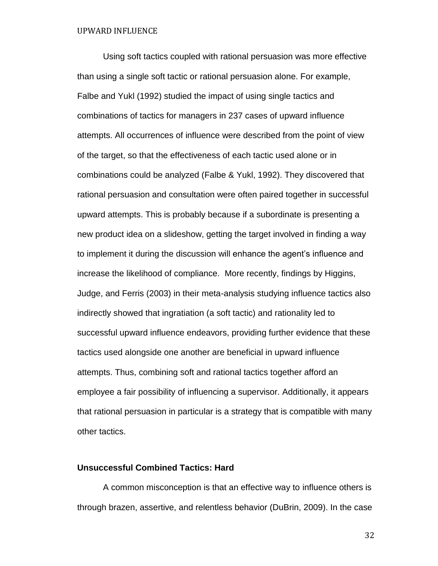Using soft tactics coupled with rational persuasion was more effective than using a single soft tactic or rational persuasion alone. For example, Falbe and Yukl (1992) studied the impact of using single tactics and combinations of tactics for managers in 237 cases of upward influence attempts. All occurrences of influence were described from the point of view of the target, so that the effectiveness of each tactic used alone or in combinations could be analyzed (Falbe & Yukl, 1992). They discovered that rational persuasion and consultation were often paired together in successful upward attempts. This is probably because if a subordinate is presenting a new product idea on a slideshow, getting the target involved in finding a way to implement it during the discussion will enhance the agent's influence and increase the likelihood of compliance. More recently, findings by Higgins, Judge, and Ferris (2003) in their meta-analysis studying influence tactics also indirectly showed that ingratiation (a soft tactic) and rationality led to successful upward influence endeavors, providing further evidence that these tactics used alongside one another are beneficial in upward influence attempts. Thus, combining soft and rational tactics together afford an employee a fair possibility of influencing a supervisor. Additionally, it appears that rational persuasion in particular is a strategy that is compatible with many other tactics.

# **Unsuccessful Combined Tactics: Hard**

A common misconception is that an effective way to influence others is through brazen, assertive, and relentless behavior (DuBrin, 2009). In the case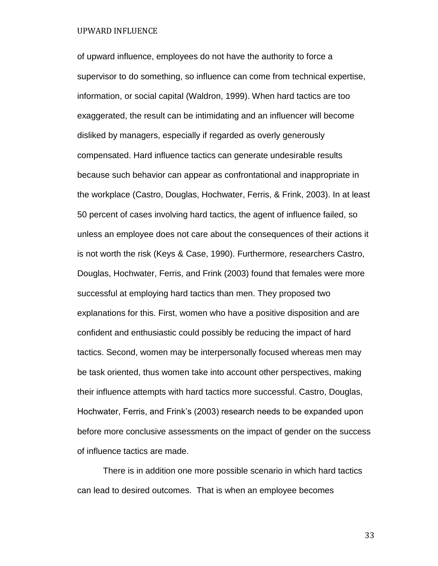of upward influence, employees do not have the authority to force a supervisor to do something, so influence can come from technical expertise, information, or social capital (Waldron, 1999). When hard tactics are too exaggerated, the result can be intimidating and an influencer will become disliked by managers, especially if regarded as overly generously compensated. Hard influence tactics can generate undesirable results because such behavior can appear as confrontational and inappropriate in the workplace (Castro, Douglas, Hochwater, Ferris, & Frink, 2003). In at least 50 percent of cases involving hard tactics, the agent of influence failed, so unless an employee does not care about the consequences of their actions it is not worth the risk (Keys & Case, 1990). Furthermore, researchers Castro, Douglas, Hochwater, Ferris, and Frink (2003) found that females were more successful at employing hard tactics than men. They proposed two explanations for this. First, women who have a positive disposition and are confident and enthusiastic could possibly be reducing the impact of hard tactics. Second, women may be interpersonally focused whereas men may be task oriented, thus women take into account other perspectives, making their influence attempts with hard tactics more successful. Castro, Douglas, Hochwater, Ferris, and Frink's (2003) research needs to be expanded upon before more conclusive assessments on the impact of gender on the success of influence tactics are made.

There is in addition one more possible scenario in which hard tactics can lead to desired outcomes. That is when an employee becomes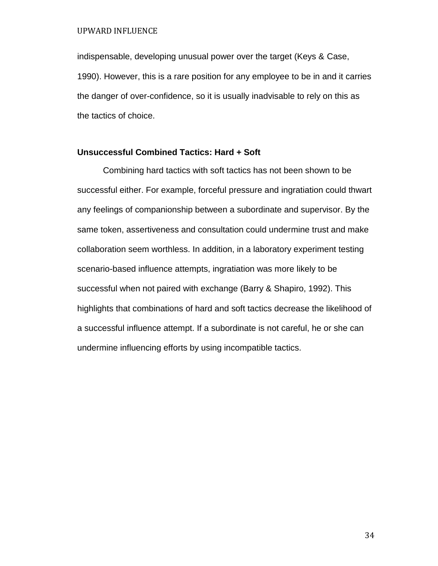indispensable, developing unusual power over the target (Keys & Case, 1990). However, this is a rare position for any employee to be in and it carries the danger of over-confidence, so it is usually inadvisable to rely on this as the tactics of choice.

# **Unsuccessful Combined Tactics: Hard + Soft**

Combining hard tactics with soft tactics has not been shown to be successful either. For example, forceful pressure and ingratiation could thwart any feelings of companionship between a subordinate and supervisor. By the same token, assertiveness and consultation could undermine trust and make collaboration seem worthless. In addition, in a laboratory experiment testing scenario-based influence attempts, ingratiation was more likely to be successful when not paired with exchange (Barry & Shapiro, 1992). This highlights that combinations of hard and soft tactics decrease the likelihood of a successful influence attempt. If a subordinate is not careful, he or she can undermine influencing efforts by using incompatible tactics.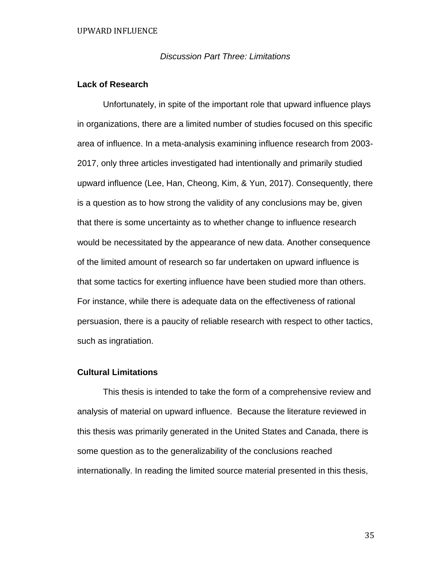# *Discussion Part Three: Limitations*

# **Lack of Research**

Unfortunately, in spite of the important role that upward influence plays in organizations, there are a limited number of studies focused on this specific area of influence. In a meta-analysis examining influence research from 2003- 2017, only three articles investigated had intentionally and primarily studied upward influence (Lee, Han, Cheong, Kim, & Yun, 2017). Consequently, there is a question as to how strong the validity of any conclusions may be, given that there is some uncertainty as to whether change to influence research would be necessitated by the appearance of new data. Another consequence of the limited amount of research so far undertaken on upward influence is that some tactics for exerting influence have been studied more than others. For instance, while there is adequate data on the effectiveness of rational persuasion, there is a paucity of reliable research with respect to other tactics, such as ingratiation.

## **Cultural Limitations**

This thesis is intended to take the form of a comprehensive review and analysis of material on upward influence. Because the literature reviewed in this thesis was primarily generated in the United States and Canada, there is some question as to the generalizability of the conclusions reached internationally. In reading the limited source material presented in this thesis,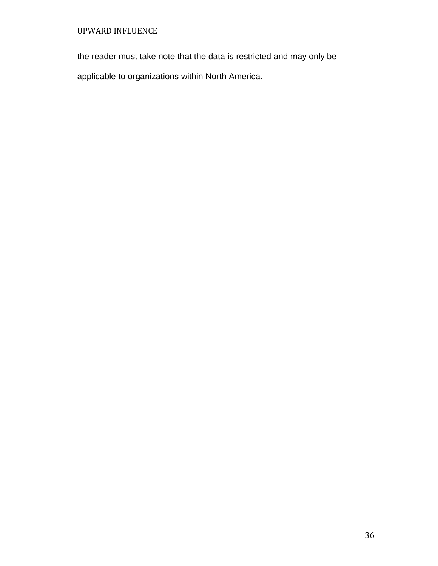the reader must take note that the data is restricted and may only be

applicable to organizations within North America.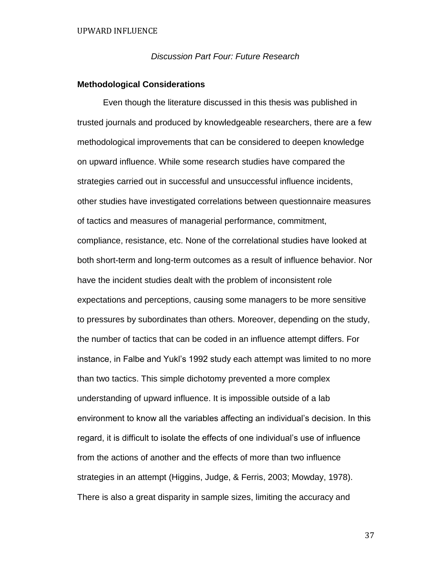*Discussion Part Four: Future Research*

# **Methodological Considerations**

Even though the literature discussed in this thesis was published in trusted journals and produced by knowledgeable researchers, there are a few methodological improvements that can be considered to deepen knowledge on upward influence. While some research studies have compared the strategies carried out in successful and unsuccessful influence incidents, other studies have investigated correlations between questionnaire measures of tactics and measures of managerial performance, commitment, compliance, resistance, etc. None of the correlational studies have looked at both short-term and long-term outcomes as a result of influence behavior. Nor have the incident studies dealt with the problem of inconsistent role expectations and perceptions, causing some managers to be more sensitive to pressures by subordinates than others. Moreover, depending on the study, the number of tactics that can be coded in an influence attempt differs. For instance, in Falbe and Yukl's 1992 study each attempt was limited to no more than two tactics. This simple dichotomy prevented a more complex understanding of upward influence. It is impossible outside of a lab environment to know all the variables affecting an individual's decision. In this regard, it is difficult to isolate the effects of one individual's use of influence from the actions of another and the effects of more than two influence strategies in an attempt (Higgins, Judge, & Ferris, 2003; Mowday, 1978). There is also a great disparity in sample sizes, limiting the accuracy and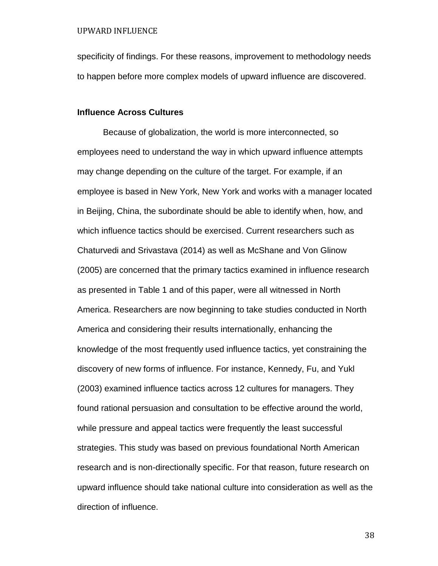specificity of findings. For these reasons, improvement to methodology needs to happen before more complex models of upward influence are discovered.

#### **Influence Across Cultures**

Because of globalization, the world is more interconnected, so employees need to understand the way in which upward influence attempts may change depending on the culture of the target. For example, if an employee is based in New York, New York and works with a manager located in Beijing, China, the subordinate should be able to identify when, how, and which influence tactics should be exercised. Current researchers such as Chaturvedi and Srivastava (2014) as well as McShane and Von Glinow (2005) are concerned that the primary tactics examined in influence research as presented in Table 1 and of this paper, were all witnessed in North America. Researchers are now beginning to take studies conducted in North America and considering their results internationally, enhancing the knowledge of the most frequently used influence tactics, yet constraining the discovery of new forms of influence. For instance, Kennedy, Fu, and Yukl (2003) examined influence tactics across 12 cultures for managers. They found rational persuasion and consultation to be effective around the world, while pressure and appeal tactics were frequently the least successful strategies. This study was based on previous foundational North American research and is non-directionally specific. For that reason, future research on upward influence should take national culture into consideration as well as the direction of influence.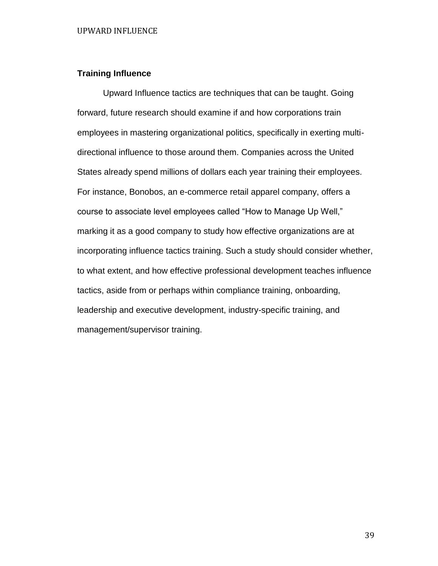# **Training Influence**

Upward Influence tactics are techniques that can be taught. Going forward, future research should examine if and how corporations train employees in mastering organizational politics, specifically in exerting multidirectional influence to those around them. Companies across the United States already spend millions of dollars each year training their employees. For instance, Bonobos, an e-commerce retail apparel company, offers a course to associate level employees called "How to Manage Up Well," marking it as a good company to study how effective organizations are at incorporating influence tactics training. Such a study should consider whether, to what extent, and how effective professional development teaches influence tactics, aside from or perhaps within compliance training, onboarding, leadership and executive development, industry-specific training, and management/supervisor training.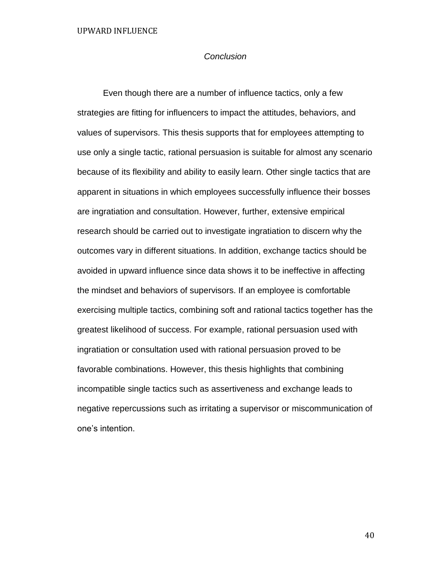# *Conclusion*

Even though there are a number of influence tactics, only a few strategies are fitting for influencers to impact the attitudes, behaviors, and values of supervisors. This thesis supports that for employees attempting to use only a single tactic, rational persuasion is suitable for almost any scenario because of its flexibility and ability to easily learn. Other single tactics that are apparent in situations in which employees successfully influence their bosses are ingratiation and consultation. However, further, extensive empirical research should be carried out to investigate ingratiation to discern why the outcomes vary in different situations. In addition, exchange tactics should be avoided in upward influence since data shows it to be ineffective in affecting the mindset and behaviors of supervisors. If an employee is comfortable exercising multiple tactics, combining soft and rational tactics together has the greatest likelihood of success. For example, rational persuasion used with ingratiation or consultation used with rational persuasion proved to be favorable combinations. However, this thesis highlights that combining incompatible single tactics such as assertiveness and exchange leads to negative repercussions such as irritating a supervisor or miscommunication of one's intention.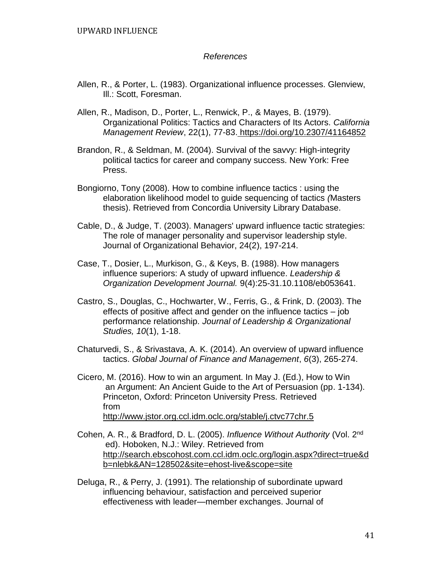# *References*

- Allen, R., & Porter, L. (1983). Organizational influence processes. Glenview, Ill.: Scott, Foresman.
- Allen, R., Madison, D., Porter, L., Renwick, P., & Mayes, B. (1979). Organizational Politics: Tactics and Characters of Its Actors. *California Management Review*, 22(1), 77-83. <https://doi.org/10.2307/41164852>
- Brandon, R., & Seldman, M. (2004). Survival of the savvy: High-integrity political tactics for career and company success. New York: Free Press.
- Bongiorno, Tony (2008). How to combine influence tactics : using the elaboration likelihood model to guide sequencing of tactics *(*Masters thesis). Retrieved from Concordia University Library Database.
- Cable, D., & Judge, T. (2003). Managers' upward influence tactic strategies: The role of manager personality and supervisor leadership style. Journal of Organizational Behavior, 24(2), 197-214.
- Case, T., Dosier, L., Murkison, G., & Keys, B. (1988). How managers influence superiors: A study of upward influence. *Leadership & Organization Development Journal.* 9(4):25-31.10.1108/eb053641.
- Castro, S., Douglas, C., Hochwarter, W., Ferris, G., & Frink, D. (2003). The effects of positive affect and gender on the influence tactics – job performance relationship. *Journal of Leadership & Organizational Studies, 10*(1), 1-18.
- Chaturvedi, S., & Srivastava, A. K. (2014). An overview of upward influence tactics. *Global Journal of Finance and Management*, *6*(3), 265-274.
- Cicero, M. (2016). How to win an argument. In May J. (Ed.), How to Win an Argument: An Ancient Guide to the Art of Persuasion (pp. 1-134). Princeton, Oxford: Princeton University Press. Retrieved from <http://www.jstor.org.ccl.idm.oclc.org/stable/j.ctvc77chr.5>
- Cohen, A. R., & Bradford, D. L. (2005). *Influence Without Authority* (Vol. 2nd ed). Hoboken, N.J.: Wiley. Retrieved from [http://search.ebscohost.com.ccl.idm.oclc.org/login.aspx?direct=true&d](http://search.ebscohost.com.ccl.idm.oclc.org/login.aspx?direct=true&d%09b=nlebk&AN=128502&site=ehost-live&scope=site) [b=nlebk&AN=128502&site=ehost-live&scope=site](http://search.ebscohost.com.ccl.idm.oclc.org/login.aspx?direct=true&d%09b=nlebk&AN=128502&site=ehost-live&scope=site)
- Deluga, R., & Perry, J. (1991). The relationship of subordinate upward influencing behaviour, satisfaction and perceived superior effectiveness with leader—member exchanges. Journal of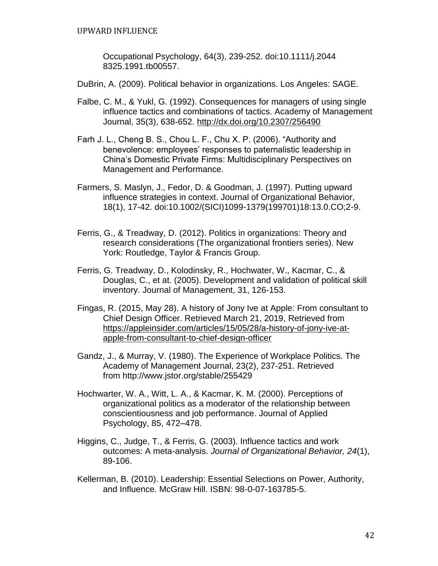Occupational Psychology, 64(3), 239-252. doi:10.1111/j.2044 8325.1991.tb00557.

- DuBrin, A. (2009). Political behavior in organizations. Los Angeles: SAGE.
- Falbe, C. M., & Yukl, G. (1992). Consequences for managers of using single influence tactics and combinations of tactics. Academy of Management Journal, 35(3), 638-652. [http://dx.doi.org/10.2307/256490](https://psycnet.apa.org/doi/10.2307/256490)
- Farh J. L., Cheng B. S., Chou L. F., Chu X. P. (2006). "Authority and benevolence: employees' responses to paternalistic leadership in China's Domestic Private Firms: Multidisciplinary Perspectives on Management and Performance.
- Farmers, S. Maslyn, J., Fedor, D. & Goodman, J. (1997). Putting upward influence strategies in context. Journal of Organizational Behavior, 18(1), 17-42. doi:10.1002/(SICI)1099-1379(199701)18:13.0.CO;2-9.
- Ferris, G., & Treadway, D. (2012). Politics in organizations: Theory and research considerations (The organizational frontiers series). New York: Routledge, Taylor & Francis Group.
- Ferris, G. Treadway, D., Kolodinsky, R., Hochwater, W., Kacmar, C., & Douglas, C., et at. (2005). Development and validation of political skill inventory. Journal of Management, 31, 126-153.
- Fingas, R. (2015, May 28). A history of Jony Ive at Apple: From consultant to Chief Design Officer. Retrieved March 21, 2019, Retrieved from [https://appleinsider.com/articles/15/05/28/a-history-of-jony-ive-at](https://appleinsider.com/articles/15/05/28/a-history-of-jony-ive-at-%09apple-)[apple-f](https://appleinsider.com/articles/15/05/28/a-history-of-jony-ive-at-%09apple-)rom-consultant-to-chief-design-officer
- Gandz, J., & Murray, V. (1980). The Experience of Workplace Politics. The Academy of Management Journal, 23(2), 237-251. Retrieved from http://www.jstor.org/stable/255429
- Hochwarter, W. A., Witt, L. A., & Kacmar, K. M. (2000). Perceptions of organizational politics as a moderator of the relationship between conscientiousness and job performance. Journal of Applied Psychology, 85, 472–478.
- Higgins, C., Judge, T., & Ferris, G. (2003). Influence tactics and work outcomes: A meta-analysis. *Journal of Organizational Behavior, 24*(1), 89-106.
- Kellerman, B. (2010). Leadership: Essential Selections on Power, Authority, and Influence. McGraw Hill. ISBN: 98-0-07-163785-5.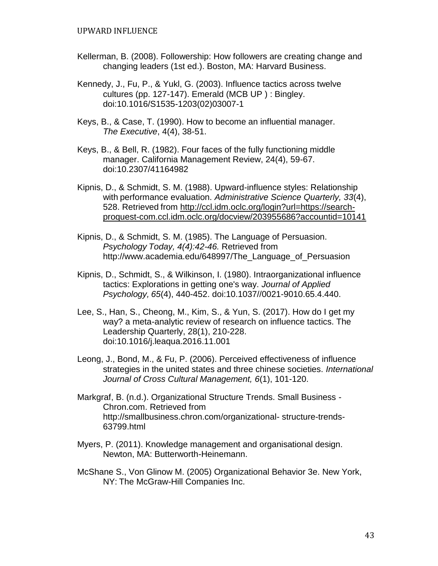- Kellerman, B. (2008). Followership: How followers are creating change and changing leaders (1st ed.). Boston, MA: Harvard Business.
- Kennedy, J., Fu, P., & Yukl, G. (2003). Influence tactics across twelve cultures (pp. 127-147). Emerald (MCB UP ) : Bingley. doi:10.1016/S1535-1203(02)03007-1
- Keys, B., & Case, T. (1990). How to become an influential manager. *The Executive*, 4(4), 38-51.
- Keys, B., & Bell, R. (1982). Four faces of the fully functioning middle manager. California Management Review, 24(4), 59-67. doi:10.2307/41164982
- Kipnis, D., & Schmidt, S. M. (1988). Upward-influence styles: Relationship with performance evaluation. *Administrative Science Quarterly, 33*(4), 528. Retrieved from [http://ccl.idm.oclc.org/login?url=https://search](http://ccl.idm.oclc.org/login?url=https://search-)proquest-com.ccl.idm.oclc.org/docview/203955686?accountid=10141
- Kipnis, D., & Schmidt, S. M. (1985). The Language of Persuasion. *Psychology Today, 4(4):42-46.* Retrieved from http://www.academia.edu/648997/The Language of Persuasion
- Kipnis, D., Schmidt, S., & Wilkinson, I. (1980). Intraorganizational influence tactics: Explorations in getting one's way. *Journal of Applied Psychology, 65*(4), 440-452. doi:10.1037//0021-9010.65.4.440.
- Lee, S., Han, S., Cheong, M., Kim, S., & Yun, S. (2017). How do I get my way? a meta-analytic review of research on influence tactics. The Leadership Quarterly, 28(1), 210-228. doi:10.1016/j.leaqua.2016.11.001
- Leong, J., Bond, M., & Fu, P. (2006). Perceived effectiveness of influence strategies in the united states and three chinese societies. *International Journal of Cross Cultural Management, 6*(1), 101-120.
- Markgraf, B. (n.d.). Organizational Structure Trends. Small Business Chron.com. Retrieved fro[m](%09http:/smallbusiness.chron.com/organizational-) [http://smallbusiness.chron.com/organizational-](%09http:/smallbusiness.chron.com/organizational-) structure-trends-63799.html
- Myers, P. (2011). Knowledge management and organisational design. Newton, MA: Butterworth-Heinemann.
- McShane S., Von Glinow M. (2005) Organizational Behavior 3e. New York, NY: The McGraw-Hill Companies Inc.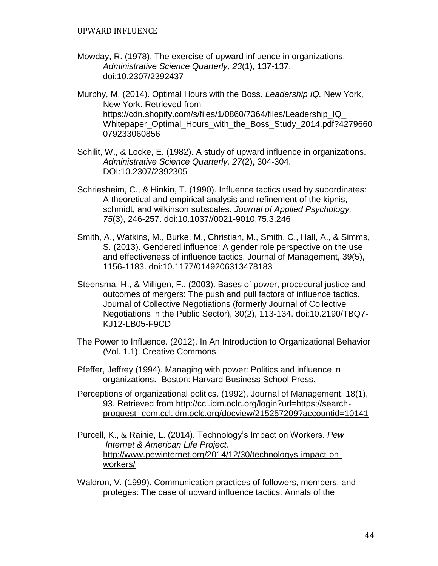- Mowday, R. (1978). The exercise of upward influence in organizations. *Administrative Science Quarterly, 23*(1), 137-137. doi:10.2307/2392437
- Murphy, M. (2014). Optimal Hours with the Boss. *Leadership IQ.* New York, New York. Retrieved from [https://cdn.shopify.com/s/files/1/0860/7364/files/Leadership\\_IQ\\_](https://cdn.shopify.com/s/files/1/0860/7364/files/Leadership_IQ_) Whitepaper Optimal Hours with the Boss Study 2014.pdf?4279660 079233060856
- Schilit, W., & Locke, E. (1982). A study of upward influence in organizations. *Administrative Science Quarterly, 27*(2), 304-304. DOI:10.2307/2392305
- Schriesheim, C., & Hinkin, T. (1990). Influence tactics used by subordinates: A theoretical and empirical analysis and refinement of the kipnis, schmidt, and wilkinson subscales. *Journal of Applied Psychology, 75*(3), 246-257. doi:10.1037//0021-9010.75.3.246
- Smith, A., Watkins, M., Burke, M., Christian, M., Smith, C., Hall, A., & Simms, S. (2013). Gendered influence: A gender role perspective on the use and effectiveness of influence tactics. Journal of Management, 39(5), 1156-1183. doi:10.1177/0149206313478183
- Steensma, H., & Milligen, F., (2003). Bases of power, procedural justice and outcomes of mergers: The push and pull factors of influence tactics. Journal of Collective Negotiations (formerly Journal of Collective Negotiations in the Public Sector), 30(2), 113-134. doi:10.2190/TBQ7- KJ12-LB05-F9CD
- The Power to Influence. (2012). In An Introduction to Organizational Behavior (Vol. 1.1). Creative Commons.
- Pfeffer, Jeffrey (1994). Managing with power: Politics and influence in organizations. Boston: Harvard Business School Press.
- Perceptions of organizational politics. (1992). Journal of Management, 18(1), 93. Retrieved from [http://ccl.idm.oclc.org/login?url=https://search](http://ccl.idm.oclc.org/login?url=https://search-%09proquest-%20com.ccl.idm.oclc.org/docview/215257209?accountid=10141)proquest- [com.ccl.idm.oclc.org/docview/215257209?accountid=10141](http://ccl.idm.oclc.org/login?url=https://search-%09proquest-%20com.ccl.idm.oclc.org/docview/215257209?accountid=10141)
- Purcell, K., & Rainie, L. (2014). Technology's Impact on Workers. *Pew Internet & American Life Project.* [http://www.pewinternet.org/2014/12/30/technologys-impact-on](http://www.pewinternet.org/2014/12/30/technologys-impact-on-workers/)[workers/](http://www.pewinternet.org/2014/12/30/technologys-impact-on-workers/)
- Waldron, V. (1999). Communication practices of followers, members, and protégés: The case of upward influence tactics. Annals of the